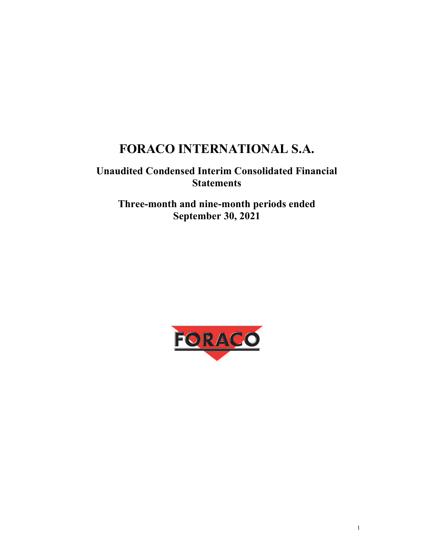# FORACO INTERNATIONAL S.A.

# Unaudited Condensed Interim Consolidated Financial **Statements**

Three-month and nine-month periods ended September 30, 2021

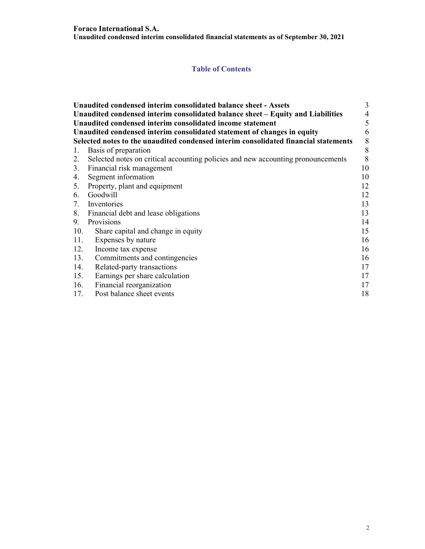# Table of Contents

|     | Unaudited condensed interim consolidated balance sheet - Assets                     | 3  |
|-----|-------------------------------------------------------------------------------------|----|
|     | Unaudited condensed interim consolidated balance sheet – Equity and Liabilities     | 4  |
|     | Unaudited condensed interim consolidated income statement                           | 5  |
|     | Unaudited condensed interim consolidated statement of changes in equity             | 6  |
|     | Selected notes to the unaudited condensed interim consolidated financial statements | 8  |
| 1.  | Basis of preparation                                                                | 8  |
| 2.  | Selected notes on critical accounting policies and new accounting pronouncements    | 8  |
|     | 3. Financial risk management                                                        | 10 |
| 4.  | Segment information                                                                 | 10 |
|     | 5. Property, plant and equipment                                                    | 12 |
|     | 6. Goodwill                                                                         | 12 |
|     | 7. Inventories                                                                      | 13 |
|     | 8. Financial debt and lease obligations                                             | 13 |
| 9.  | Provisions                                                                          | 14 |
| 10. | Share capital and change in equity                                                  | 15 |
| 11. | Expenses by nature                                                                  | 16 |
| 12. | Income tax expense                                                                  | 16 |
| 13. | Commitments and contingencies                                                       | 16 |
| 14. | Related-party transactions                                                          | 17 |
| 15. | Earnings per share calculation                                                      | 17 |
| 16. | Financial reorganization                                                            | 17 |
| 17. | Post balance sheet events                                                           | 18 |
|     |                                                                                     |    |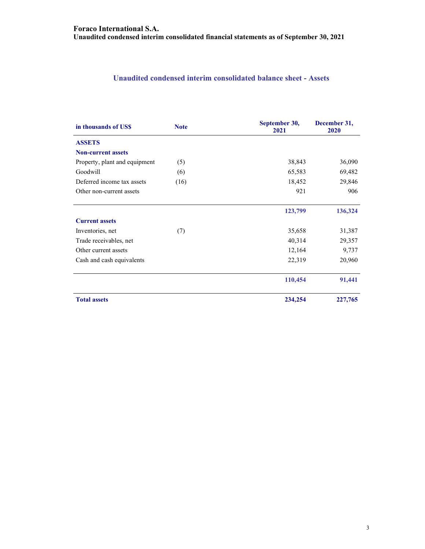# Unaudited condensed interim consolidated balance sheet - Assets

| in thousands of US\$          | <b>Note</b> | September 30,<br>2021 | December 31,<br>2020 |
|-------------------------------|-------------|-----------------------|----------------------|
| <b>ASSETS</b>                 |             |                       |                      |
| <b>Non-current assets</b>     |             |                       |                      |
| Property, plant and equipment | (5)         | 38,843                | 36,090               |
| Goodwill                      | (6)         | 65,583                | 69,482               |
| Deferred income tax assets    | (16)        | 18,452                | 29,846               |
| Other non-current assets      |             | 921                   | 906                  |
|                               |             | 123,799               | 136,324              |
| <b>Current assets</b>         |             |                       |                      |
| Inventories, net              | (7)         | 35,658                | 31,387               |
| Trade receivables, net        |             | 40,314                | 29,357               |
| Other current assets          |             | 12,164                | 9,737                |
| Cash and cash equivalents     |             | 22,319                | 20,960               |
|                               |             | 110,454               | 91,441               |
| <b>Total assets</b>           |             | 234,254               | 227,765              |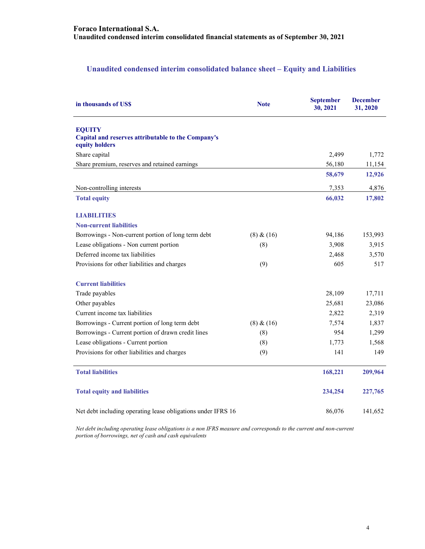# Unaudited condensed interim consolidated balance sheet – Equity and Liabilities

| in thousands of US\$                                                                  | <b>Note</b> | <b>September</b><br>30, 2021 | <b>December</b><br>31, 2020 |  |
|---------------------------------------------------------------------------------------|-------------|------------------------------|-----------------------------|--|
| <b>EQUITY</b><br>Capital and reserves attributable to the Company's<br>equity holders |             |                              |                             |  |
| Share capital                                                                         |             | 2,499                        | 1,772                       |  |
| Share premium, reserves and retained earnings                                         |             | 56,180                       | 11,154                      |  |
|                                                                                       |             | 58,679                       | 12,926                      |  |
| Non-controlling interests                                                             |             | 7,353                        | 4,876                       |  |
| <b>Total equity</b>                                                                   |             | 66,032                       | 17,802                      |  |
| <b>LIABILITIES</b>                                                                    |             |                              |                             |  |
| <b>Non-current liabilities</b>                                                        |             |                              |                             |  |
| Borrowings - Non-current portion of long term debt                                    | (8) & (16)  | 94,186                       | 153,993                     |  |
| Lease obligations - Non current portion                                               | (8)         | 3,908                        | 3,915                       |  |
| Deferred income tax liabilities                                                       |             | 2,468                        | 3,570                       |  |
| Provisions for other liabilities and charges                                          | (9)         | 605                          | 517                         |  |
| <b>Current liabilities</b>                                                            |             |                              |                             |  |
| Trade payables                                                                        |             | 28,109                       | 17,711                      |  |
| Other payables                                                                        |             | 25,681                       | 23,086                      |  |
| Current income tax liabilities                                                        |             | 2,822                        | 2,319                       |  |
| Borrowings - Current portion of long term debt                                        | (8) & (16)  | 7,574                        | 1,837                       |  |
| Borrowings - Current portion of drawn credit lines                                    | (8)         | 954                          | 1,299                       |  |
| Lease obligations - Current portion                                                   | (8)         | 1,773                        | 1,568                       |  |
| Provisions for other liabilities and charges                                          | (9)         | 141                          | 149                         |  |
| <b>Total liabilities</b>                                                              |             | 168,221                      | 209,964                     |  |
| <b>Total equity and liabilities</b>                                                   |             | 234,254                      | 227,765                     |  |
| Net debt including operating lease obligations under IFRS 16                          |             | 86,076                       | 141,652                     |  |

Net debt including operating lease obligations is a non IFRS measure and corresponds to the current and non-current portion of borrowings, net of cash and cash equivalents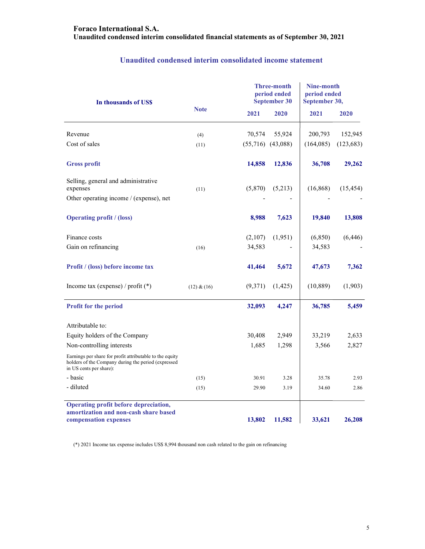| In thousands of US\$                                                                                                                       |             |         | <b>Three-month</b><br>period ended<br><b>September 30</b> |           | Nine-month<br>period ended<br>September 30, |  |
|--------------------------------------------------------------------------------------------------------------------------------------------|-------------|---------|-----------------------------------------------------------|-----------|---------------------------------------------|--|
|                                                                                                                                            | <b>Note</b> | 2021    | 2020                                                      | 2021      | 2020                                        |  |
| Revenue                                                                                                                                    | (4)         | 70,574  | 55,924                                                    | 200,793   | 152,945                                     |  |
| Cost of sales                                                                                                                              | (11)        |         | $(55,716)$ $(43,088)$                                     | (164,085) | (123, 683)                                  |  |
| <b>Gross profit</b>                                                                                                                        |             | 14,858  | 12,836                                                    | 36,708    | 29,262                                      |  |
| Selling, general and administrative<br>expenses<br>Other operating income / (expense), net                                                 | (11)        | (5,870) | (5,213)                                                   | (16, 868) | (15, 454)                                   |  |
| <b>Operating profit / (loss)</b>                                                                                                           |             | 8,988   | 7,623                                                     | 19,840    | 13,808                                      |  |
| Finance costs                                                                                                                              |             | (2,107) | (1,951)                                                   | (6, 850)  | (6, 446)                                    |  |
| Gain on refinancing                                                                                                                        | (16)        | 34,583  |                                                           | 34,583    |                                             |  |
| Profit / (loss) before income tax                                                                                                          |             | 41,464  | 5,672                                                     | 47,673    | 7,362                                       |  |
| Income tax (expense) / profit $(*)$                                                                                                        | (12) & (16) | (9,371) | (1, 425)                                                  | (10, 889) | (1,903)                                     |  |
| Profit for the period                                                                                                                      |             | 32,093  | 4,247                                                     | 36,785    | 5,459                                       |  |
| Attributable to:                                                                                                                           |             |         |                                                           |           |                                             |  |
| Equity holders of the Company                                                                                                              |             | 30,408  | 2,949                                                     | 33,219    | 2,633                                       |  |
| Non-controlling interests                                                                                                                  |             | 1,685   | 1,298                                                     | 3,566     | 2,827                                       |  |
| Earnings per share for profit attributable to the equity<br>holders of the Company during the period (expressed<br>in US cents per share): |             |         |                                                           |           |                                             |  |
| - basic                                                                                                                                    | (15)        | 30.91   | 3.28                                                      | 35.78     | 2.93                                        |  |
| - diluted                                                                                                                                  | (15)        | 29.90   | 3.19                                                      | 34.60     | 2.86                                        |  |
| Operating profit before depreciation,<br>amortization and non-cash share based<br>compensation expenses                                    |             | 13,802  | 11,582                                                    | 33,621    | 26,208                                      |  |

# Unaudited condensed interim consolidated income statement

(\*) 2021 Income tax expense includes US\$ 8,994 thousand non cash related to the gain on refinancing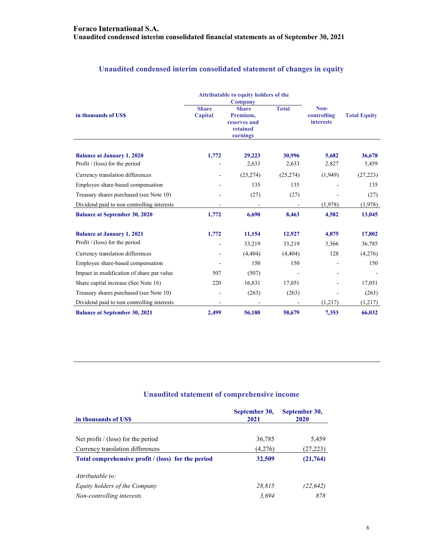|                                            |                                                                                                             | <b>Attributable to equity holders of the</b><br><b>Company</b> |                                         |                     |           |
|--------------------------------------------|-------------------------------------------------------------------------------------------------------------|----------------------------------------------------------------|-----------------------------------------|---------------------|-----------|
| in thousands of US\$                       | <b>Total</b><br><b>Share</b><br><b>Share</b><br>Capital<br>Premium,<br>reserves and<br>retained<br>earnings |                                                                | Non-<br>controlling<br><b>interests</b> | <b>Total Equity</b> |           |
| <b>Balance at January 1, 2020</b>          | 1,772                                                                                                       | 29,223                                                         | 30,996                                  | 5,682               | 36,678    |
| Profit $/$ (loss) for the period           |                                                                                                             | 2,633                                                          | 2,633                                   | 2,827               | 5,459     |
| Currency translation differences           |                                                                                                             | (25, 274)                                                      | (25, 274)                               | (1,949)             | (27, 223) |
| Employee share-based compensation          |                                                                                                             | 135                                                            | 135                                     |                     | 135       |
| Treasury shares purchased (see Note 10)    |                                                                                                             | (27)                                                           | (27)                                    |                     | (27)      |
| Dividend paid to non controlling interests |                                                                                                             |                                                                |                                         | (1,978)             | (1,978)   |
| <b>Balance at September 30, 2020</b>       | 1,772                                                                                                       | 6,690                                                          | 8,463                                   | 4,582               | 13,045    |
| <b>Balance at January 1, 2021</b>          | 1,772                                                                                                       | 11,154                                                         | 12,927                                  | 4,875               | 17,802    |
| Profit $/$ (loss) for the period           |                                                                                                             | 33,219                                                         | 33,219                                  | 3,566               | 36,785    |
| Currency translation differences           |                                                                                                             | (4,404)                                                        | (4,404)                                 | 128                 | (4,276)   |
| Employee share-based compensation          |                                                                                                             | 150                                                            | 150                                     |                     | 150       |
| Impact in modification of share par value  | 507                                                                                                         | (507)                                                          |                                         |                     |           |
| Share capital increase (See Note 16)       | 220                                                                                                         | 16,831                                                         | 17,051                                  |                     | 17,051    |
| Treasury shares purchased (see Note 10)    |                                                                                                             | (263)                                                          | (263)                                   |                     | (263)     |
| Dividend paid to non controlling interests |                                                                                                             |                                                                |                                         | (1,217)             | (1,217)   |
| <b>Balance at September 30, 2021</b>       | 2,499                                                                                                       | 56,180                                                         | 58,679                                  | 7,353               | 66,032    |

# Unaudited condensed interim consolidated statement of changes in equity

# Unaudited statement of comprehensive income

| in thousands of USS                                | September 30,<br>2021 | September 30,<br>2020 |
|----------------------------------------------------|-----------------------|-----------------------|
|                                                    |                       |                       |
| Net profit / (loss) for the period                 | 36,785                | 5,459                 |
| Currency translation differences                   | (4,276)               | (27, 223)             |
| Total comprehensive profit / (loss) for the period | 32,509                | (21, 764)             |
| Attributable to:                                   |                       |                       |
| Equity holders of the Company                      | 28.815                | (22, 642)             |
| Non-controlling interests                          | 3.694                 | 878                   |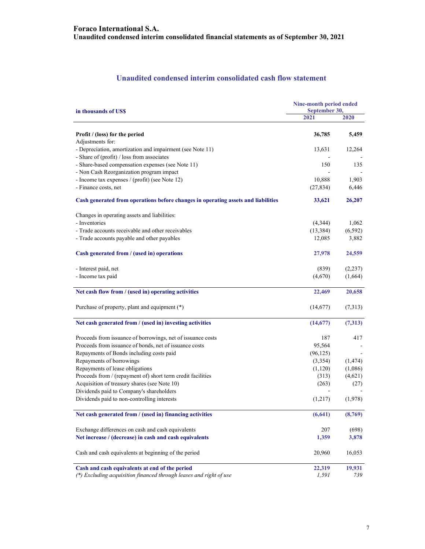# Unaudited condensed interim consolidated cash flow statement

| in thousands of USS                                                               | Nine-month period ended<br>September 30, |          |  |  |
|-----------------------------------------------------------------------------------|------------------------------------------|----------|--|--|
|                                                                                   | 2021                                     | 2020     |  |  |
| Profit / (loss) for the period                                                    | 36,785                                   | 5,459    |  |  |
| Adjustments for:                                                                  |                                          |          |  |  |
| - Depreciation, amortization and impairment (see Note 11)                         | 13,631                                   | 12,264   |  |  |
| - Share of (profit) / loss from associates                                        |                                          |          |  |  |
| - Share-based compensation expenses (see Note 11)                                 | 150                                      | 135      |  |  |
| - Non Cash Reorganization program impact                                          |                                          |          |  |  |
| - Income tax expenses / (profit) (see Note 12)                                    | 10,888                                   | 1,903    |  |  |
| - Finance costs, net                                                              | (27, 834)                                | 6,446    |  |  |
| Cash generated from operations before changes in operating assets and liabilities | 33,621                                   | 26,207   |  |  |
| Changes in operating assets and liabilities:                                      |                                          |          |  |  |
| - Inventories                                                                     | (4,344)                                  | 1,062    |  |  |
| - Trade accounts receivable and other receivables                                 | (13, 384)                                | (6, 592) |  |  |
| - Trade accounts payable and other payables                                       | 12,085                                   | 3,882    |  |  |
| Cash generated from / (used in) operations                                        | 27,978                                   | 24,559   |  |  |
| - Interest paid, net                                                              | (839)                                    | (2, 237) |  |  |
| - Income tax paid                                                                 | (4,670)                                  | (1,664)  |  |  |
| Net cash flow from / (used in) operating activities                               | 22,469                                   | 20,658   |  |  |
|                                                                                   |                                          |          |  |  |
| Purchase of property, plant and equipment (*)                                     | (14,677)                                 | (7,313)  |  |  |
| Net cash generated from / (used in) investing activities                          | (14,677)                                 | (7,313)  |  |  |
| Proceeds from issuance of borrowings, net of issuance costs                       | 187                                      | 417      |  |  |
| Proceeds from issuance of bonds, net of issuance costs                            | 95,564                                   |          |  |  |
| Repayments of Bonds including costs paid                                          | (96, 125)                                |          |  |  |
| Repayments of borrowings                                                          | (3,354)                                  | (1, 474) |  |  |
| Repayments of lease obligations                                                   | (1,120)                                  | (1,086)  |  |  |
| Proceeds from / (repayment of) short term credit facilities                       | (313)                                    | (4,621)  |  |  |
| Acquisition of treasury shares (see Note 10)                                      | (263)                                    | (27)     |  |  |
| Dividends paid to Company's shareholders                                          |                                          |          |  |  |
| Dividends paid to non-controlling interests                                       | (1,217)                                  | (1,978)  |  |  |
| Net cash generated from / (used in) financing activities                          | (6,641)                                  | (8,769)  |  |  |
| Exchange differences on cash and cash equivalents                                 | 207                                      | (698)    |  |  |
| Net increase / (decrease) in cash and cash equivalents                            | 1,359                                    | 3,878    |  |  |
| Cash and cash equivalents at beginning of the period                              | 20,960                                   | 16,053   |  |  |
| Cash and cash equivalents at end of the period                                    | 22,319                                   | 19,931   |  |  |
| (*) Excluding acquisition financed through leases and right of use                | 1,591                                    | 739      |  |  |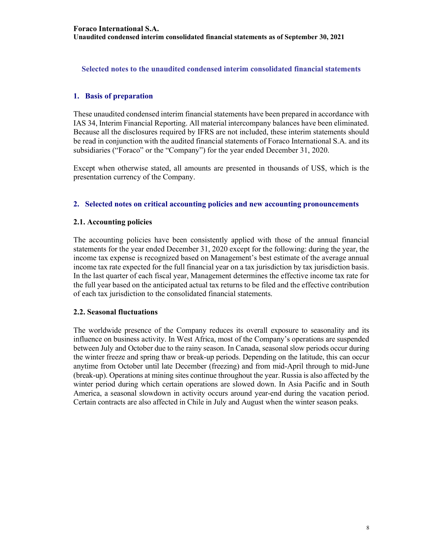Selected notes to the unaudited condensed interim consolidated financial statements

# 1. Basis of preparation

These unaudited condensed interim financial statements have been prepared in accordance with IAS 34, Interim Financial Reporting. All material intercompany balances have been eliminated. Because all the disclosures required by IFRS are not included, these interim statements should be read in conjunction with the audited financial statements of Foraco International S.A. and its subsidiaries ("Foraco" or the "Company") for the year ended December 31, 2020.

Except when otherwise stated, all amounts are presented in thousands of US\$, which is the presentation currency of the Company.

# 2. Selected notes on critical accounting policies and new accounting pronouncements

#### 2.1. Accounting policies

The accounting policies have been consistently applied with those of the annual financial statements for the year ended December 31, 2020 except for the following: during the year, the income tax expense is recognized based on Management's best estimate of the average annual income tax rate expected for the full financial year on a tax jurisdiction by tax jurisdiction basis. In the last quarter of each fiscal year, Management determines the effective income tax rate for the full year based on the anticipated actual tax returns to be filed and the effective contribution of each tax jurisdiction to the consolidated financial statements.

#### 2.2. Seasonal fluctuations

The worldwide presence of the Company reduces its overall exposure to seasonality and its influence on business activity. In West Africa, most of the Company's operations are suspended between July and October due to the rainy season. In Canada, seasonal slow periods occur during the winter freeze and spring thaw or break-up periods. Depending on the latitude, this can occur anytime from October until late December (freezing) and from mid-April through to mid-June (break-up). Operations at mining sites continue throughout the year. Russia is also affected by the winter period during which certain operations are slowed down. In Asia Pacific and in South America, a seasonal slowdown in activity occurs around year-end during the vacation period. Certain contracts are also affected in Chile in July and August when the winter season peaks.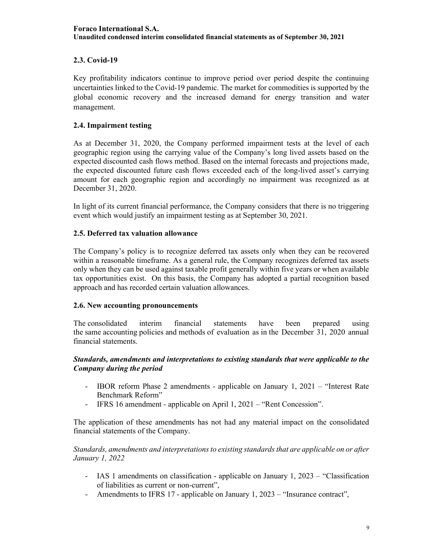# 2.3. Covid-19

Key profitability indicators continue to improve period over period despite the continuing uncertainties linked to the Covid-19 pandemic. The market for commodities is supported by the global economic recovery and the increased demand for energy transition and water management.

# 2.4. Impairment testing

As at December 31, 2020, the Company performed impairment tests at the level of each geographic region using the carrying value of the Company's long lived assets based on the expected discounted cash flows method. Based on the internal forecasts and projections made, the expected discounted future cash flows exceeded each of the long-lived asset's carrying amount for each geographic region and accordingly no impairment was recognized as at December 31, 2020.

In light of its current financial performance, the Company considers that there is no triggering event which would justify an impairment testing as at September 30, 2021.

# 2.5. Deferred tax valuation allowance

The Company's policy is to recognize deferred tax assets only when they can be recovered within a reasonable timeframe. As a general rule, the Company recognizes deferred tax assets only when they can be used against taxable profit generally within five years or when available tax opportunities exist. On this basis, the Company has adopted a partial recognition based approach and has recorded certain valuation allowances.

# 2.6. New accounting pronouncements

The consolidated interim financial statements have been prepared using the same accounting policies and methods of evaluation as in the December 31, 2020 annual financial statements.

#### Standards, amendments and interpretations to existing standards that were applicable to the Company during the period

- IBOR reform Phase 2 amendments applicable on January 1, 2021 "Interest Rate Benchmark Reform"
- IFRS 16 amendment applicable on April 1, 2021 "Rent Concession".

The application of these amendments has not had any material impact on the consolidated financial statements of the Company.

Standards, amendments and interpretations to existing standards that are applicable on or after January 1, 2022

- IAS 1 amendments on classification applicable on January 1, 2023 "Classification of liabilities as current or non-current",
- Amendments to IFRS 17 applicable on January 1, 2023 "Insurance contract",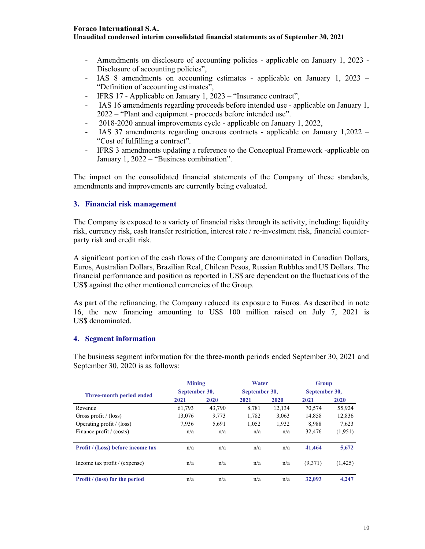# Foraco International S.A.

#### Unaudited condensed interim consolidated financial statements as of September 30, 2021

- Amendments on disclosure of accounting policies applicable on January 1, 2023 Disclosure of accounting policies",
- IAS 8 amendments on accounting estimates applicable on January 1, 2023 "Definition of accounting estimates",
- IFRS 17 Applicable on January 1, 2023 "Insurance contract",
- IAS 16 amendments regarding proceeds before intended use applicable on January 1, 2022 – "Plant and equipment - proceeds before intended use".
- 2018-2020 annual improvements cycle applicable on January 1, 2022,
- IAS 37 amendments regarding onerous contracts applicable on January 1,2022 "Cost of fulfilling a contract".
- IFRS 3 amendments updating a reference to the Conceptual Framework -applicable on January 1, 2022 – "Business combination".

The impact on the consolidated financial statements of the Company of these standards, amendments and improvements are currently being evaluated.

# 3. Financial risk management

The Company is exposed to a variety of financial risks through its activity, including: liquidity risk, currency risk, cash transfer restriction, interest rate / re-investment risk, financial counterparty risk and credit risk.

A significant portion of the cash flows of the Company are denominated in Canadian Dollars, Euros, Australian Dollars, Brazilian Real, Chilean Pesos, Russian Rubbles and US Dollars. The financial performance and position as reported in US\$ are dependent on the fluctuations of the US\$ against the other mentioned currencies of the Group.

As part of the refinancing, the Company reduced its exposure to Euros. As described in note 16, the new financing amounting to US\$ 100 million raised on July 7, 2021 is US\$ denominated.

# 4. Segment information

|                                          | <b>Mining</b> |        | Water         |        | <b>Group</b>  |          |
|------------------------------------------|---------------|--------|---------------|--------|---------------|----------|
| Three-month period ended                 | September 30, |        | September 30, |        | September 30, |          |
|                                          | 2021          | 2020   | 2021          | 2020   | 2021          | 2020     |
| Revenue                                  | 61,793        | 43,790 | 8.781         | 12.134 | 70,574        | 55,924   |
| Gross profit / $(\text{loss})$           | 13,076        | 9,773  | 1,782         | 3,063  | 14,858        | 12,836   |
| Operating profit $/$ (loss)              | 7.936         | 5.691  | 1.052         | 1.932  | 8.988         | 7,623    |
| Finance profit / (costs)                 | n/a           | n/a    | n/a           | n/a    | 32,476        | (1,951)  |
| <b>Profit / (Loss) before income tax</b> | n/a           | n/a    | n/a           | n/a    | 41,464        | 5,672    |
| Income tax profit / (expense)            | n/a           | n/a    | n/a           | n/a    | (9,371)       | (1, 425) |
| <b>Profit</b> / (loss) for the period    | n/a           | n/a    | n/a           | n/a    | 32,093        | 4,247    |

The business segment information for the three-month periods ended September 30, 2021 and September 30, 2020 is as follows: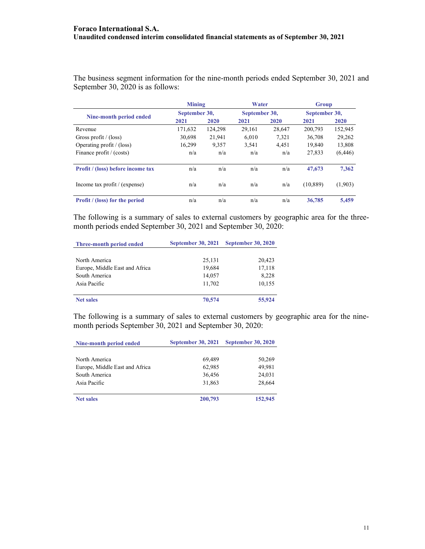The business segment information for the nine-month periods ended September 30, 2021 and September 30, 2020 is as follows:

|                                          | <b>Mining</b> |         | Water         |        | Group         |          |
|------------------------------------------|---------------|---------|---------------|--------|---------------|----------|
| Nine-month period ended                  | September 30, |         | September 30, |        | September 30, |          |
|                                          | 2021          | 2020    | 2021          | 2020   | 2021          | 2020     |
| Revenue                                  | 171,632       | 124,298 | 29,161        | 28,647 | 200,793       | 152,945  |
| Gross profit / $(\text{loss})$           | 30.698        | 21.941  | 6.010         | 7.321  | 36,708        | 29,262   |
| Operating profit $/$ (loss)              | 16,299        | 9,357   | 3,541         | 4,451  | 19,840        | 13,808   |
| Finance profit / (costs)                 | n/a           | n/a     | n/a           | n/a    | 27,833        | (6, 446) |
| <b>Profit / (loss) before income tax</b> | n/a           | n/a     | n/a           | n/a    | 47,673        | 7,362    |
| Income tax profit / (expense)            | n/a           | n/a     | n/a           | n/a    | (10, 889)     | (1,903)  |
| <b>Profit</b> / (loss) for the period    | n/a           | n/a     | n/a           | n/a    | 36,785        | 5.459    |

The following is a summary of sales to external customers by geographic area for the threemonth periods ended September 30, 2021 and September 30, 2020:

| Three-month period ended       | <b>September 30, 2021</b> | <b>September 30, 2020</b> |
|--------------------------------|---------------------------|---------------------------|
|                                |                           |                           |
| North America                  | 25,131                    | 20,423                    |
| Europe, Middle East and Africa | 19,684                    | 17,118                    |
| South America                  | 14,057                    | 8,228                     |
| Asia Pacific                   | 11,702                    | 10,155                    |
| <b>Net sales</b>               | 70,574                    | 55,924                    |

The following is a summary of sales to external customers by geographic area for the ninemonth periods September 30, 2021 and September 30, 2020:

| Nine-month period ended        | <b>September 30, 2021</b> | <b>September 30, 2020</b> |
|--------------------------------|---------------------------|---------------------------|
|                                |                           |                           |
| North America                  | 69,489                    | 50,269                    |
| Europe, Middle East and Africa | 62,985                    | 49,981                    |
| South America                  | 36,456                    | 24,031                    |
| Asia Pacific                   | 31,863                    | 28,664                    |
| <b>Net sales</b>               | 200,793                   | 152,945                   |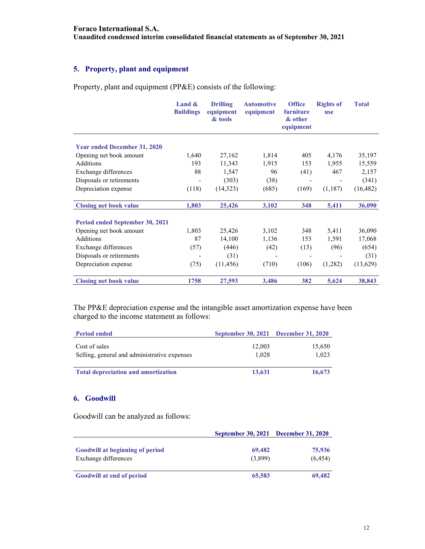# 5. Property, plant and equipment

Property, plant and equipment (PP&E) consists of the following:

|                                     | Land $\&$<br><b>Buildings</b> | <b>Drilling</b><br>equipment<br>& tools | <b>Automotive</b><br>equipment | <b>Office</b><br>furniture<br>& other<br>equipment | <b>Rights of</b><br><b>use</b> | <b>Total</b> |
|-------------------------------------|-------------------------------|-----------------------------------------|--------------------------------|----------------------------------------------------|--------------------------------|--------------|
| <b>Year ended December 31, 2020</b> |                               |                                         |                                |                                                    |                                |              |
|                                     |                               |                                         |                                |                                                    |                                |              |
| Opening net book amount             | 1,640                         | 27,162                                  | 1,814                          | 405                                                | 4,176                          | 35,197       |
| Additions                           | 193                           | 11,343                                  | 1,915                          | 153                                                | 1,955                          | 15,559       |
| Exchange differences                | 88                            | 1,547                                   | 96                             | (41)                                               | 467                            | 2,157        |
| Disposals or retirements            |                               | (303)                                   | (38)                           |                                                    |                                | (341)        |
| Depreciation expense                | (118)                         | (14,323)                                | (685)                          | (169)                                              | (1,187)                        | (16, 482)    |
| <b>Closing net book value</b>       | 1,803                         | 25,426                                  | 3,102                          | 348                                                | 5,411                          | 36,090       |
| Period ended September 30, 2021     |                               |                                         |                                |                                                    |                                |              |
| Opening net book amount             | 1,803                         | 25,426                                  | 3,102                          | 348                                                | 5,411                          | 36,090       |
| Additions                           | 87                            | 14,100                                  | 1,136                          | 153                                                | 1,591                          | 17,068       |
| Exchange differences                | (57)                          | (446)                                   | (42)                           | (13)                                               | (96)                           | (654)        |
| Disposals or retirements            |                               | (31)                                    |                                |                                                    |                                | (31)         |
| Depreciation expense                | (75)                          | (11, 456)                               | (710)                          | (106)                                              | (1,282)                        | (13,629)     |
| <b>Closing net book value</b>       | 1758                          | 27,593                                  | 3,486                          | 382                                                | 5,624                          | 38,843       |

The PP&E depreciation expense and the intangible asset amortization expense have been charged to the income statement as follows:

| <b>Period ended</b>                                           | September 30, 2021 December 31, 2020 |                 |
|---------------------------------------------------------------|--------------------------------------|-----------------|
| Cost of sales<br>Selling, general and administrative expenses | 12,003<br>1.028                      | 15,650<br>1.023 |
| <b>Total depreciation and amortization</b>                    | 13,631                               | 16,673          |

# 6. Goodwill

Goodwill can be analyzed as follows:

| 69,482  | 75,936                               |
|---------|--------------------------------------|
| (3,899) | (6, 454)                             |
|         |                                      |
| 65,583  | 69,482                               |
|         | September 30, 2021 December 31, 2020 |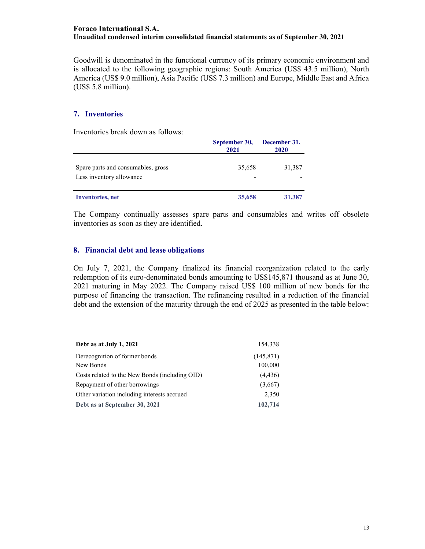Goodwill is denominated in the functional currency of its primary economic environment and is allocated to the following geographic regions: South America (US\$ 43.5 million), North America (US\$ 9.0 million), Asia Pacific (US\$ 7.3 million) and Europe, Middle East and Africa (US\$ 5.8 million).

#### 7. Inventories

Inventories break down as follows:

|                                                                | September 30,<br>2021 | December 31,<br>2020 |
|----------------------------------------------------------------|-----------------------|----------------------|
| Spare parts and consumables, gross<br>Less inventory allowance | 35,658                | 31,387               |
| <b>Inventories</b> , net                                       | 35,658                | 31,387               |

The Company continually assesses spare parts and consumables and writes off obsolete inventories as soon as they are identified.

#### 8. Financial debt and lease obligations

On July 7, 2021, the Company finalized its financial reorganization related to the early redemption of its euro-denominated bonds amounting to US\$145,871 thousand as at June 30, 2021 maturing in May 2022. The Company raised US\$ 100 million of new bonds for the purpose of financing the transaction. The refinancing resulted in a reduction of the financial debt and the extension of the maturity through the end of 2025 as presented in the table below:

| Debt as at July 1, 2021                        | 154.338    |
|------------------------------------------------|------------|
| Derecognition of former bonds                  | (145, 871) |
| New Bonds                                      | 100,000    |
| Costs related to the New Bonds (including OID) | (4, 436)   |
| Repayment of other borrowings                  | (3,667)    |
| Other variation including interests accrued    | 2,350      |
| Debt as at September 30, 2021                  | 102,714    |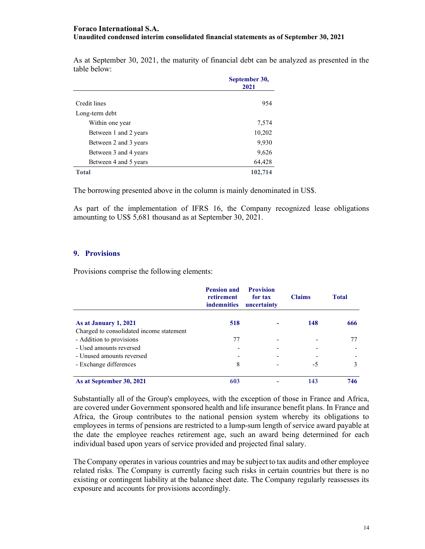As at September 30, 2021, the maturity of financial debt can be analyzed as presented in the table below:

|                       | September 30,<br>2021 |  |
|-----------------------|-----------------------|--|
| Credit lines          | 954                   |  |
| Long-term debt        |                       |  |
| Within one year       | 7,574                 |  |
| Between 1 and 2 years | 10,202                |  |
| Between 2 and 3 years | 9,930                 |  |
| Between 3 and 4 years | 9,626                 |  |
| Between 4 and 5 years | 64,428                |  |
| <b>Total</b>          | 102,714               |  |

The borrowing presented above in the column is mainly denominated in US\$.

As part of the implementation of IFRS 16, the Company recognized lease obligations amounting to US\$ 5,681 thousand as at September 30, 2021.

#### 9. Provisions

Provisions comprise the following elements:

|                                          | <b>Pension and</b><br>retirement<br><b>indemnities</b> | <b>Provision</b><br>for tax<br>uncertainty | <b>Claims</b> | <b>Total</b> |
|------------------------------------------|--------------------------------------------------------|--------------------------------------------|---------------|--------------|
| As at January 1, 2021                    | 518                                                    |                                            | 148           | 666          |
| Charged to consolidated income statement |                                                        |                                            |               |              |
| - Addition to provisions                 | 77                                                     |                                            |               |              |
| - Used amounts reversed                  |                                                        |                                            |               |              |
| - Unused amounts reversed                |                                                        |                                            |               |              |
| - Exchange differences                   | 8                                                      |                                            | -5            | 3            |
| As at September 30, 2021                 | 603                                                    |                                            | 143           | 746          |

Substantially all of the Group's employees, with the exception of those in France and Africa, are covered under Government sponsored health and life insurance benefit plans. In France and Africa, the Group contributes to the national pension system whereby its obligations to employees in terms of pensions are restricted to a lump-sum length of service award payable at the date the employee reaches retirement age, such an award being determined for each individual based upon years of service provided and projected final salary.

The Company operates in various countries and may be subject to tax audits and other employee related risks. The Company is currently facing such risks in certain countries but there is no existing or contingent liability at the balance sheet date. The Company regularly reassesses its exposure and accounts for provisions accordingly.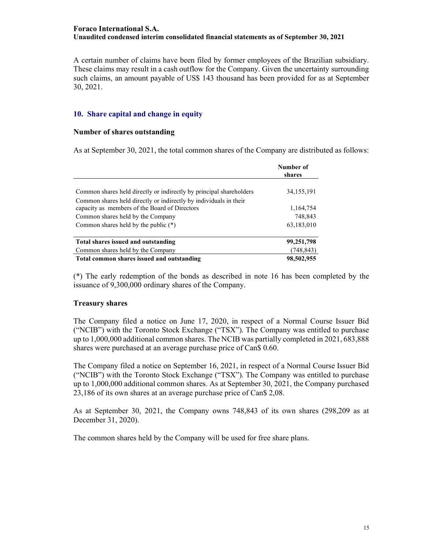A certain number of claims have been filed by former employees of the Brazilian subsidiary. These claims may result in a cash outflow for the Company. Given the uncertainty surrounding such claims, an amount payable of US\$ 143 thousand has been provided for as at September 30, 2021.

#### 10. Share capital and change in equity

#### Number of shares outstanding

As at September 30, 2021, the total common shares of the Company are distributed as follows:

|                                                                     | Number of<br>shares |
|---------------------------------------------------------------------|---------------------|
|                                                                     |                     |
| Common shares held directly or indirectly by principal shareholders | 34, 155, 191        |
| Common shares held directly or indirectly by individuals in their   |                     |
| capacity as members of the Board of Directors                       | 1,164,754           |
| Common shares held by the Company                                   | 748,843             |
| Common shares held by the public $(*)$                              | 63,183,010          |
| Total shares issued and outstanding                                 | 99,251,798          |
| Common shares held by the Company                                   | (748, 843)          |
| Total common shares issued and outstanding                          | 98,502,955          |

(\*) The early redemption of the bonds as described in note 16 has been completed by the issuance of 9,300,000 ordinary shares of the Company.

#### Treasury shares

The Company filed a notice on June 17, 2020, in respect of a Normal Course Issuer Bid ("NCIB") with the Toronto Stock Exchange ("TSX"). The Company was entitled to purchase up to 1,000,000 additional common shares. The NCIB was partially completed in 2021, 683,888 shares were purchased at an average purchase price of Can\$ 0.60.

The Company filed a notice on September 16, 2021, in respect of a Normal Course Issuer Bid ("NCIB") with the Toronto Stock Exchange ("TSX"). The Company was entitled to purchase up to 1,000,000 additional common shares. As at September 30, 2021, the Company purchased 23,186 of its own shares at an average purchase price of Can\$ 2,08.

As at September 30, 2021, the Company owns 748,843 of its own shares (298,209 as at December 31, 2020).

The common shares held by the Company will be used for free share plans.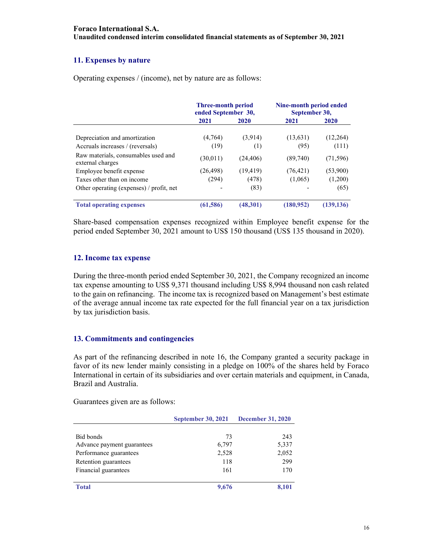# 11. Expenses by nature

Operating expenses / (income), net by nature are as follows:

|                                                         | <b>Three-month period</b><br>ended September 30, |           | Nine-month period ended<br>September 30, |            |
|---------------------------------------------------------|--------------------------------------------------|-----------|------------------------------------------|------------|
|                                                         | 2021                                             | 2020      | 2021                                     | 2020       |
| Depreciation and amortization                           | (4,764)                                          | (3,914)   | (13, 631)                                | (12,264)   |
| Accruals increases / (reversals)                        | (19)                                             | (1)       | (95)                                     | (111)      |
| Raw materials, consumables used and<br>external charges | (30, 011)                                        | (24, 406) | (89,740)                                 | (71, 596)  |
| Employee benefit expense                                | (26, 498)                                        | (19, 419) | (76, 421)                                | (53,900)   |
| Taxes other than on income                              | (294)                                            | (478)     | (1,065)                                  | (1,200)    |
| Other operating (expenses) / profit, net                |                                                  | (83)      |                                          | (65)       |
| <b>Total operating expenses</b>                         | (61, 586)                                        | (48,301)  | (180, 952)                               | (139, 136) |

Share-based compensation expenses recognized within Employee benefit expense for the period ended September 30, 2021 amount to US\$ 150 thousand (US\$ 135 thousand in 2020).

# 12. Income tax expense

During the three-month period ended September 30, 2021, the Company recognized an income tax expense amounting to US\$ 9,371 thousand including US\$ 8,994 thousand non cash related to the gain on refinancing. The income tax is recognized based on Management's best estimate of the average annual income tax rate expected for the full financial year on a tax jurisdiction by tax jurisdiction basis.

# 13. Commitments and contingencies

As part of the refinancing described in note 16, the Company granted a security package in favor of its new lender mainly consisting in a pledge on 100% of the shares held by Foraco International in certain of its subsidiaries and over certain materials and equipment, in Canada, Brazil and Australia.

Guarantees given are as follows:

|                            | <b>September 30, 2021</b> | <b>December 31, 2020</b> |
|----------------------------|---------------------------|--------------------------|
|                            |                           |                          |
| Bid bonds                  | 73                        | 243                      |
| Advance payment guarantees | 6,797                     | 5,337                    |
| Performance guarantees     | 2,528                     | 2,052                    |
| Retention guarantees       | 118                       | 299                      |
| Financial guarantees       | 161                       | 170                      |
| <b>Total</b>               | 9,676                     | 8.101                    |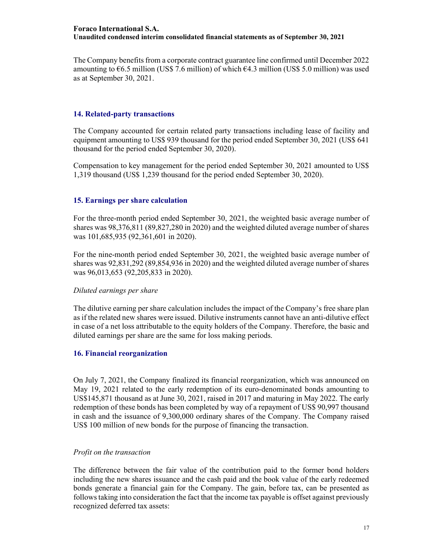The Company benefits from a corporate contract guarantee line confirmed until December 2022 amounting to  $66.5$  million (US\$ 7.6 million) of which  $64.3$  million (US\$ 5.0 million) was used as at September 30, 2021.

#### 14. Related-party transactions

The Company accounted for certain related party transactions including lease of facility and equipment amounting to US\$ 939 thousand for the period ended September 30, 2021 (US\$ 641 thousand for the period ended September 30, 2020).

Compensation to key management for the period ended September 30, 2021 amounted to US\$ 1,319 thousand (US\$ 1,239 thousand for the period ended September 30, 2020).

# 15. Earnings per share calculation

For the three-month period ended September 30, 2021, the weighted basic average number of shares was 98,376,811 (89,827,280 in 2020) and the weighted diluted average number of shares was 101,685,935 (92,361,601 in 2020).

For the nine-month period ended September 30, 2021, the weighted basic average number of shares was 92,831,292 (89,854,936 in 2020) and the weighted diluted average number of shares was 96,013,653 (92,205,833 in 2020).

#### Diluted earnings per share

The dilutive earning per share calculation includes the impact of the Company's free share plan as if the related new shares were issued. Dilutive instruments cannot have an anti-dilutive effect in case of a net loss attributable to the equity holders of the Company. Therefore, the basic and diluted earnings per share are the same for loss making periods.

# 16. Financial reorganization

On July 7, 2021, the Company finalized its financial reorganization, which was announced on May 19, 2021 related to the early redemption of its euro-denominated bonds amounting to US\$145,871 thousand as at June 30, 2021, raised in 2017 and maturing in May 2022. The early redemption of these bonds has been completed by way of a repayment of US\$ 90,997 thousand in cash and the issuance of 9,300,000 ordinary shares of the Company. The Company raised US\$ 100 million of new bonds for the purpose of financing the transaction.

#### Profit on the transaction

The difference between the fair value of the contribution paid to the former bond holders including the new shares issuance and the cash paid and the book value of the early redeemed bonds generate a financial gain for the Company. The gain, before tax, can be presented as follows taking into consideration the fact that the income tax payable is offset against previously recognized deferred tax assets: